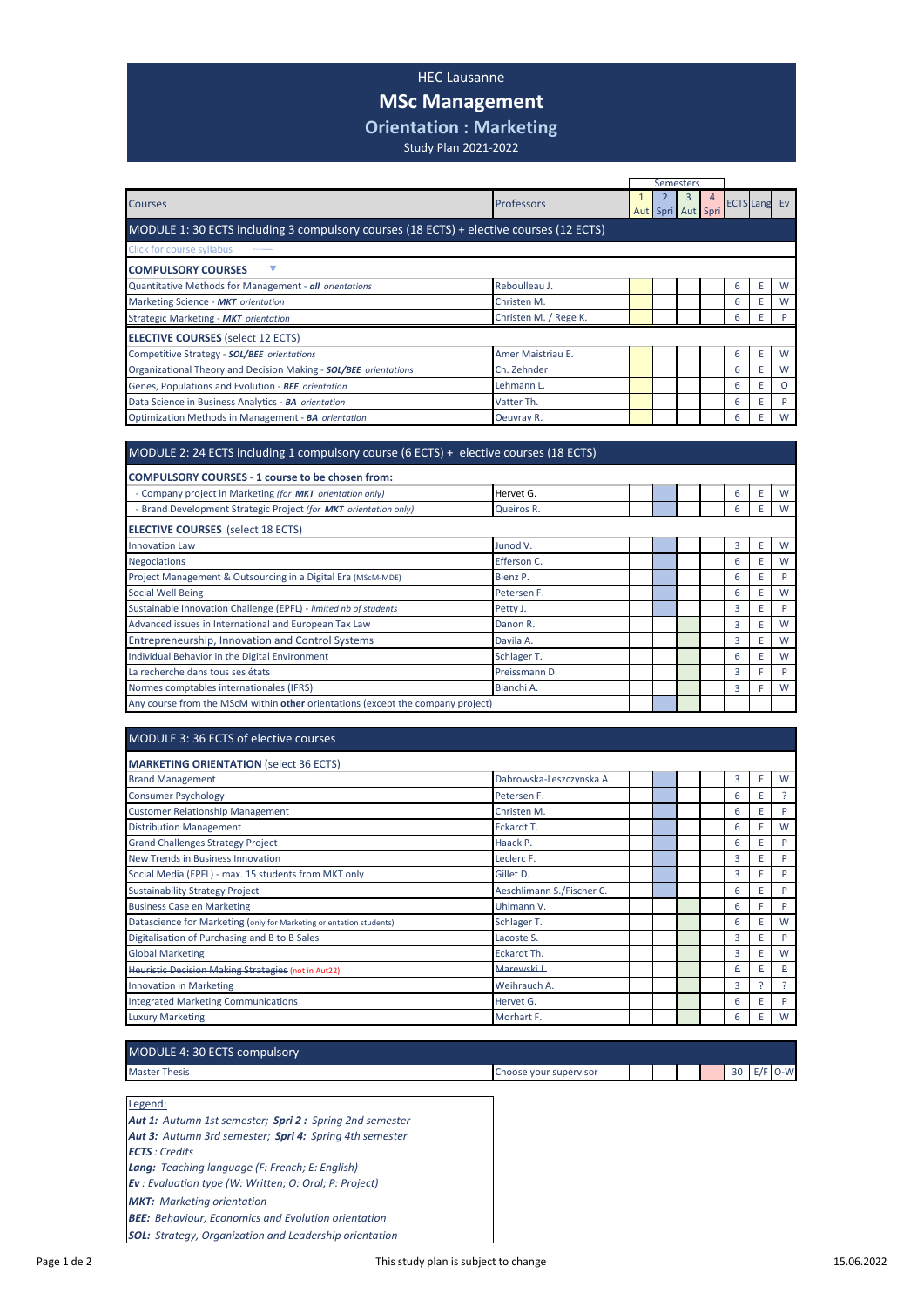## HEC Lausanne

## **MSc Management**

**Orientation : Marketing**

Study Plan 2021-2022

|                                                                                         |                       |              | Semesters              |   |   |                     |          |
|-----------------------------------------------------------------------------------------|-----------------------|--------------|------------------------|---|---|---------------------|----------|
| <b>Courses</b>                                                                          | Professors            | $\mathbf{1}$ | 3<br>Aut Spri Aut Spri | 4 |   | <b>ECTS</b> Lang Ev |          |
| MODULE 1: 30 ECTS including 3 compulsory courses (18 ECTS) + elective courses (12 ECTS) |                       |              |                        |   |   |                     |          |
| <b>Click for course syllabus</b>                                                        |                       |              |                        |   |   |                     |          |
| <b>COMPULSORY COURSES</b>                                                               |                       |              |                        |   |   |                     |          |
| Quantitative Methods for Management - all orientations                                  | Reboulleau J.         |              |                        |   | 6 | Ε                   | W        |
| Marketing Science - MKT orientation                                                     | Christen M.           |              |                        |   | 6 | E                   | W        |
| Strategic Marketing - MKT orientation                                                   | Christen M. / Rege K. |              |                        |   | 6 | E                   | P        |
| <b>ELECTIVE COURSES (select 12 ECTS)</b>                                                |                       |              |                        |   |   |                     |          |
| Competitive Strategy - SOL/BEE orientations                                             | Amer Maistriau E.     |              |                        |   | 6 | E                   | W        |
| Organizational Theory and Decision Making - SOL/BEE orientations                        | Ch. Zehnder           |              |                        |   | 6 | E                   | W        |
| Genes, Populations and Evolution - BEE orientation                                      | Lehmann L.            |              |                        |   | 6 | E                   | $\Omega$ |
| Data Science in Business Analytics - BA orientation                                     | Vatter Th.            |              |                        |   | 6 | E                   | P        |
| Optimization Methods in Management - BA orientation                                     | Oeuvray R.            |              |                        |   | 6 | E                   | W        |
|                                                                                         |                       |              |                        |   |   |                     |          |
| MODULE 2: 24 ECTS including 1 compulsory course (6 ECTS) + elective courses (18 ECTS)   |                       |              |                        |   |   |                     |          |
| <b>COMPULSORY COURSES - 1 course to be chosen from:</b>                                 |                       |              |                        |   |   |                     |          |
| - Company project in Marketing (for MKT orientation only)                               | Hervet G.             |              |                        |   | 6 | E                   | W        |
| - Brand Development Strategic Project (for MKT orientation only)                        | Queiros R.            |              |                        |   | 6 | E                   | W        |
| <b>ELECTIVE COURSES</b> (select 18 ECTS)                                                |                       |              |                        |   |   |                     |          |
| <b>Innovation Law</b>                                                                   | Junod V.              |              |                        |   | 3 | E                   | W        |
| <b>Negociations</b>                                                                     | Efferson C.           |              |                        |   | 6 | F                   | W        |

| <b>Negociations</b>                                                             | Efferson C.   |  |  | 6 | W |
|---------------------------------------------------------------------------------|---------------|--|--|---|---|
| Project Management & Outsourcing in a Digital Era (MScM-MDE)                    | Bienz P.      |  |  | 6 | P |
| Social Well Being                                                               | Petersen F.   |  |  | 6 | W |
| Sustainable Innovation Challenge (EPFL) - limited nb of students                | Petty J.      |  |  |   | P |
| Advanced issues in International and European Tax Law                           | Danon R.      |  |  | 3 | W |
| Entrepreneurship, Innovation and Control Systems                                | Davila A.     |  |  |   | W |
| Individual Behavior in the Digital Environment                                  | Schlager T.   |  |  | 6 | W |
| La recherche dans tous ses états                                                | Preissmann D. |  |  | 3 | P |
| Normes comptables internationales (IFRS)                                        | Bianchi A.    |  |  | 3 | W |
| Any course from the MScM within other orientations (except the company project) |               |  |  |   |   |

## MODULE 3: 36 ECTS of elective courses

| <b>MARKETING ORIENTATION (select 36 ECTS)</b>                       |                           |  |  |   |   |   |
|---------------------------------------------------------------------|---------------------------|--|--|---|---|---|
| <b>Brand Management</b>                                             | Dabrowska-Leszczynska A.  |  |  | 3 | E | W |
| <b>Consumer Psychology</b>                                          | Petersen F.               |  |  | 6 | E |   |
| <b>Customer Relationship Management</b>                             | Christen M.               |  |  | 6 | E | D |
| <b>Distribution Management</b>                                      | Eckardt T.                |  |  | 6 | E | W |
| <b>Grand Challenges Strategy Project</b>                            | Haack P.                  |  |  | 6 | E | P |
| New Trends in Business Innovation                                   | Leclerc F.                |  |  | 3 | F | Þ |
| Social Media (EPFL) - max. 15 students from MKT only                | Gillet D.                 |  |  | 3 | E | Þ |
| <b>Sustainability Strategy Project</b>                              | Aeschlimann S./Fischer C. |  |  | 6 | E | D |
| <b>Business Case en Marketing</b>                                   | Uhlmann V.                |  |  | 6 |   | D |
| Datascience for Marketing (only for Marketing orientation students) | Schlager T.               |  |  | 6 | E | W |
| Digitalisation of Purchasing and B to B Sales                       | Lacoste S.                |  |  | 3 | E | Þ |
| <b>Global Marketing</b>                                             | Eckardt Th.               |  |  | 3 | E | W |
| Heuristic Decision Making Strategies (not in Aut22)                 | Marewski I.               |  |  | 6 | ₽ | ₽ |
| <b>Innovation in Marketing</b>                                      | Weihrauch A.              |  |  | 3 |   |   |
| <b>Integrated Marketing Communications</b>                          | Hervet G.                 |  |  | 6 |   | D |
| <b>Luxury Marketing</b>                                             | Morhart F.                |  |  | 6 | Ε | W |

| MODULE 4: 30 ECTS compulsory |                        |  |  |    |       |
|------------------------------|------------------------|--|--|----|-------|
| <b>Master Thesis</b>         | Choose your supervisor |  |  | 30 | $O-W$ |

Legend:

*Aut 1: Autumn 1st semester; Spri 2 : Spring 2nd semester Aut 3: Autumn 3rd semester; Spri 4: Spring 4th semester ECTS : Credits Lang: Teaching language (F: French; E: English) Ev : Evaluation type (W: Written; O: Oral; P: Project) MKT: Marketing orientation BEE: Behaviour, Economics and Evolution orientation*

*SOL: Strategy, Organization and Leadership orientation*